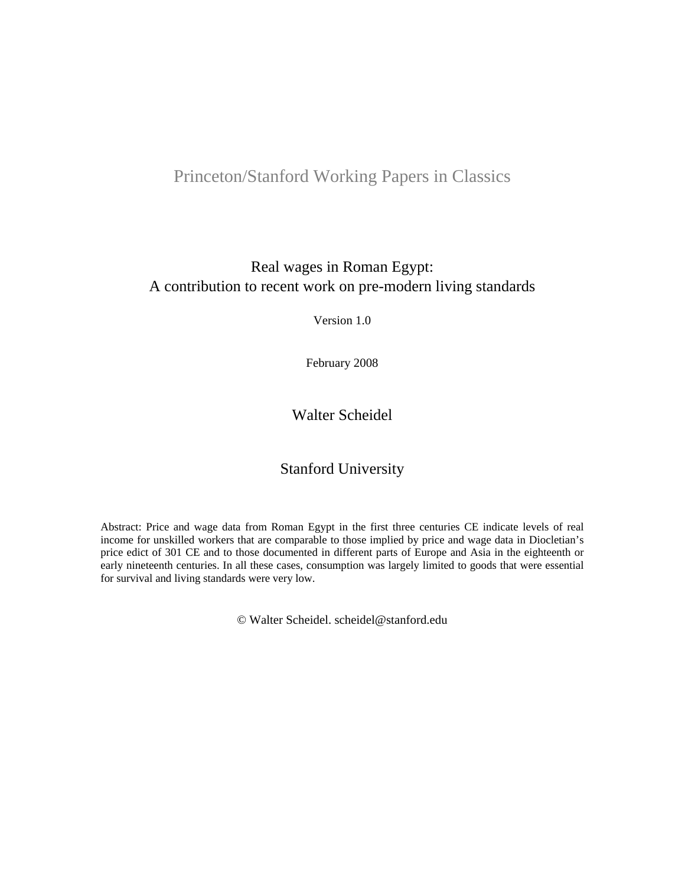## Princeton/Stanford Working Papers in Classics

## Real wages in Roman Egypt: A contribution to recent work on pre-modern living standards

Version 1.0

February 2008

## Walter Scheidel

## Stanford University

Abstract: Price and wage data from Roman Egypt in the first three centuries CE indicate levels of real income for unskilled workers that are comparable to those implied by price and wage data in Diocletian's price edict of 301 CE and to those documented in different parts of Europe and Asia in the eighteenth or early nineteenth centuries. In all these cases, consumption was largely limited to goods that were essential for survival and living standards were very low.

© Walter Scheidel. scheidel@stanford.edu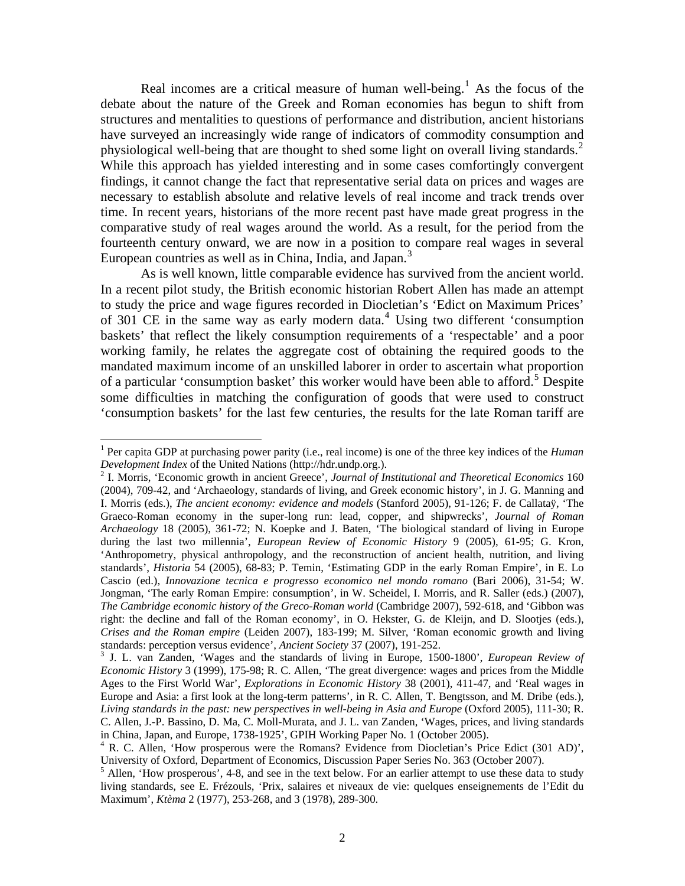Real incomes are a critical measure of human well-being.<sup>[1](#page-1-0)</sup> As the focus of the debate about the nature of the Greek and Roman economies has begun to shift from structures and mentalities to questions of performance and distribution, ancient historians have surveyed an increasingly wide range of indicators of commodity consumption and physiological well-being that are thought to shed some light on overall living standards.<sup>[2](#page-1-1)</sup> While this approach has yielded interesting and in some cases comfortingly convergent findings, it cannot change the fact that representative serial data on prices and wages are necessary to establish absolute and relative levels of real income and track trends over time. In recent years, historians of the more recent past have made great progress in the comparative study of real wages around the world. As a result, for the period from the fourteenth century onward, we are now in a position to compare real wages in several European countries as well as in China, India, and Japan. $3$ 

As is well known, little comparable evidence has survived from the ancient world. In a recent pilot study, the British economic historian Robert Allen has made an attempt to study the price and wage figures recorded in Diocletian's 'Edict on Maximum Prices' of 301 CE in the same way as early modern data.<sup>[4](#page-1-3)</sup> Using two different 'consumption baskets' that reflect the likely consumption requirements of a 'respectable' and a poor working family, he relates the aggregate cost of obtaining the required goods to the mandated maximum income of an unskilled laborer in order to ascertain what proportion of a particular 'consumption basket' this worker would have been able to afford.<sup>[5](#page-1-4)</sup> Despite some difficulties in matching the configuration of goods that were used to construct 'consumption baskets' for the last few centuries, the results for the late Roman tariff are

<span id="page-1-0"></span><sup>&</sup>lt;sup>1</sup> Per capita GDP at purchasing power parity (i.e., real income) is one of the three key indices of the *Human Development Index* of the United Nations (http://hdr.undp.org.).

<span id="page-1-1"></span><sup>&</sup>lt;sup>2</sup> I. Morris, 'Economic growth in ancient Greece', *Journal of Institutional and Theoretical Economics* 160 (2004), 709-42, and 'Archaeology, standards of living, and Greek economic history', in J. G. Manning and I. Morris (eds.), *The ancient economy: evidence and models* (Stanford 2005), 91-126; F. de Callataÿ, 'The Graeco-Roman economy in the super-long run: lead, copper, and shipwrecks', *Journal of Roman Archaeology* 18 (2005), 361-72; N. Koepke and J. Baten, 'The biological standard of living in Europe during the last two millennia', *European Review of Economic History* 9 (2005), 61-95; G. Kron, 'Anthropometry, physical anthropology, and the reconstruction of ancient health, nutrition, and living standards', *Historia* 54 (2005), 68-83; P. Temin, 'Estimating GDP in the early Roman Empire', in E. Lo Cascio (ed.), *Innovazione tecnica e progresso economico nel mondo romano* (Bari 2006), 31-54; W. Jongman, 'The early Roman Empire: consumption', in W. Scheidel, I. Morris, and R. Saller (eds.) (2007), *The Cambridge economic history of the Greco-Roman world* (Cambridge 2007), 592-618, and 'Gibbon was right: the decline and fall of the Roman economy', in O. Hekster, G. de Kleijn, and D. Slootjes (eds.), *Crises and the Roman empire* (Leiden 2007), 183-199; M. Silver, 'Roman economic growth and living standards: perception versus evidence', *Ancient Society* 37 (2007), 191-252. 3

<span id="page-1-2"></span>J. L. van Zanden, 'Wages and the standards of living in Europe, 1500-1800', *European Review of Economic History* 3 (1999), 175-98; R. C. Allen, 'The great divergence: wages and prices from the Middle Ages to the First World War', *Explorations in Economic History* 38 (2001), 411-47, and 'Real wages in Europe and Asia: a first look at the long-term patterns', in R. C. Allen, T. Bengtsson, and M. Dribe (eds.), *Living standards in the past: new perspectives in well-being in Asia and Europe* (Oxford 2005), 111-30; R. C. Allen, J.-P. Bassino, D. Ma, C. Moll-Murata, and J. L. van Zanden, 'Wages, prices, and living standards in China, Japan, and Europe, 1738-1925', GPIH Working Paper No. 1 (October 2005).

<span id="page-1-3"></span><sup>&</sup>lt;sup>4</sup> R. C. Allen, 'How prosperous were the Romans? Evidence from Diocletian's Price Edict (301 AD)', University of Oxford, Department of Economics, Discussion Paper Series No. 363 (October 2007).

<span id="page-1-4"></span><sup>&</sup>lt;sup>5</sup> Allen, 'How prosperous', 4-8, and see in the text below. For an earlier attempt to use these data to study living standards, see E. Frézouls, 'Prix, salaires et niveaux de vie: quelques enseignements de l'Edit du Maximum', *Ktèma* 2 (1977), 253-268, and 3 (1978), 289-300.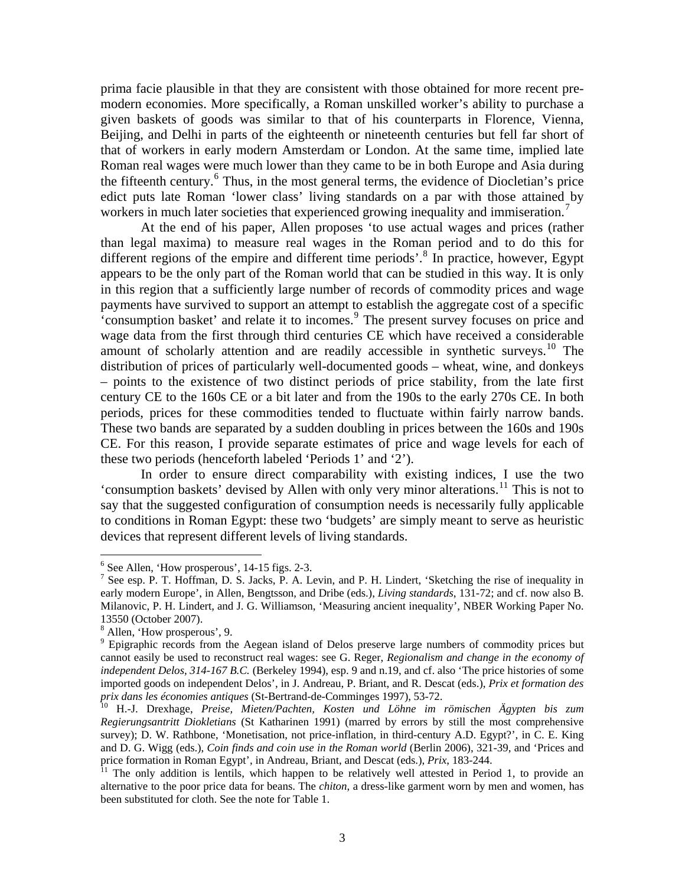prima facie plausible in that they are consistent with those obtained for more recent premodern economies. More specifically, a Roman unskilled worker's ability to purchase a given baskets of goods was similar to that of his counterparts in Florence, Vienna, Beijing, and Delhi in parts of the eighteenth or nineteenth centuries but fell far short of that of workers in early modern Amsterdam or London. At the same time, implied late Roman real wages were much lower than they came to be in both Europe and Asia during the fifteenth century.<sup>[6](#page-2-0)</sup> Thus, in the most general terms, the evidence of Diocletian's price edict puts late Roman 'lower class' living standards on a par with those attained by workers in much later societies that experienced growing inequality and immiseration.<sup>[7](#page-2-1)</sup>

At the end of his paper, Allen proposes 'to use actual wages and prices (rather than legal maxima) to measure real wages in the Roman period and to do this for different regions of the empire and different time periods'.<sup>[8](#page-2-2)</sup> In practice, however, Egypt appears to be the only part of the Roman world that can be studied in this way. It is only in this region that a sufficiently large number of records of commodity prices and wage payments have survived to support an attempt to establish the aggregate cost of a specific 'consumption basket' and relate it to incomes.[9](#page-2-3) The present survey focuses on price and wage data from the first through third centuries CE which have received a considerable amount of scholarly attention and are readily accessible in synthetic surveys.<sup>[10](#page-2-4)</sup> The distribution of prices of particularly well-documented goods – wheat, wine, and donkeys – points to the existence of two distinct periods of price stability, from the late first century CE to the 160s CE or a bit later and from the 190s to the early 270s CE. In both periods, prices for these commodities tended to fluctuate within fairly narrow bands. These two bands are separated by a sudden doubling in prices between the 160s and 190s CE. For this reason, I provide separate estimates of price and wage levels for each of these two periods (henceforth labeled 'Periods 1' and '2').

In order to ensure direct comparability with existing indices, I use the two 'consumption baskets' devised by Allen with only very minor alterations.<sup>[11](#page-2-5)</sup> This is not to say that the suggested configuration of consumption needs is necessarily fully applicable to conditions in Roman Egypt: these two 'budgets' are simply meant to serve as heuristic devices that represent different levels of living standards.

<sup>6</sup> See Allen, 'How prosperous', 14-15 figs. 2-3.

<span id="page-2-1"></span><span id="page-2-0"></span><sup>&</sup>lt;sup>7</sup> See esp. P. T. Hoffman, D. S. Jacks, P. A. Levin, and P. H. Lindert, 'Sketching the rise of inequality in early modern Europe', in Allen, Bengtsson, and Dribe (eds.), *Living standards*, 131-72; and cf. now also B. Milanovic, P. H. Lindert, and J. G. Williamson, 'Measuring ancient inequality', NBER Working Paper No. 13550 (October 2007).

<span id="page-2-2"></span><sup>8</sup> Allen, 'How prosperous', 9.

<span id="page-2-3"></span><sup>&</sup>lt;sup>9</sup> Epigraphic records from the Aegean island of Delos preserve large numbers of commodity prices but cannot easily be used to reconstruct real wages: see G. Reger, *Regionalism and change in the economy of independent Delos, 314-167 B.C.* (Berkeley 1994), esp. 9 and n.19, and cf. also 'The price histories of some imported goods on independent Delos', in J. Andreau, P. Briant, and R. Descat (eds.), *Prix et formation des prix dans les économies antiques* (St-Bertrand-de-Comminges 1997), 53-72. 10 H.-J. Drexhage, *Preise, Mieten/Pachten, Kosten und Löhne im römischen Ägypten bis zum* 

<span id="page-2-4"></span>*Regierungsantritt Diokletians* (St Katharinen 1991) (marred by errors by still the most comprehensive survey); D. W. Rathbone, 'Monetisation, not price-inflation, in third-century A.D. Egypt?', in C. E. King and D. G. Wigg (eds.), *Coin finds and coin use in the Roman world* (Berlin 2006), 321-39, and 'Prices and price formation in Roman Egypt', in Andreau, Briant, and Descat (eds.), *Prix*, 183-244.<br><sup>11</sup> The only addition is lentils, which happen to be relatively well attested in Period 1, to provide an

<span id="page-2-5"></span>alternative to the poor price data for beans. The *chiton*, a dress-like garment worn by men and women, has been substituted for cloth. See the note for Table 1.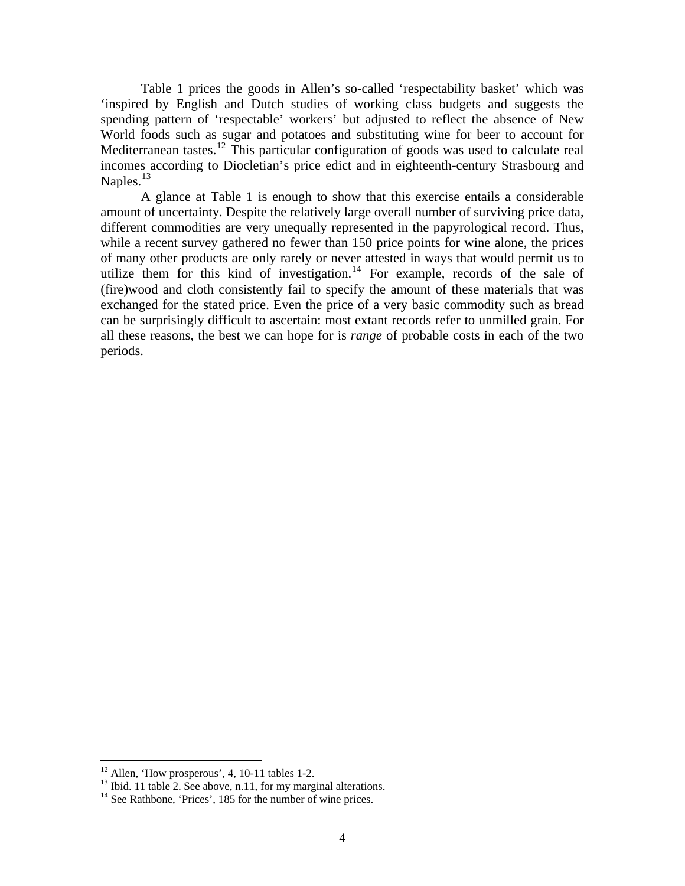Table 1 prices the goods in Allen's so-called 'respectability basket' which was 'inspired by English and Dutch studies of working class budgets and suggests the spending pattern of 'respectable' workers' but adjusted to reflect the absence of New World foods such as sugar and potatoes and substituting wine for beer to account for Mediterranean tastes.<sup>[12](#page-3-0)</sup> This particular configuration of goods was used to calculate real incomes according to Diocletian's price edict and in eighteenth-century Strasbourg and Naples. $^{13}$  $^{13}$  $^{13}$ 

A glance at Table 1 is enough to show that this exercise entails a considerable amount of uncertainty. Despite the relatively large overall number of surviving price data, different commodities are very unequally represented in the papyrological record. Thus, while a recent survey gathered no fewer than 150 price points for wine alone, the prices of many other products are only rarely or never attested in ways that would permit us to utilize them for this kind of investigation.<sup>[14](#page-3-2)</sup> For example, records of the sale of (fire)wood and cloth consistently fail to specify the amount of these materials that was exchanged for the stated price. Even the price of a very basic commodity such as bread can be surprisingly difficult to ascertain: most extant records refer to unmilled grain. For all these reasons, the best we can hope for is *range* of probable costs in each of the two periods.

 $12$  Allen, 'How prosperous', 4, 10-11 tables 1-2.

<span id="page-3-2"></span><span id="page-3-1"></span><span id="page-3-0"></span><sup>&</sup>lt;sup>13</sup> Ibid. 11 table 2. See above, n.11, for my marginal alterations.<br><sup>14</sup> See Rathbone, 'Prices', 185 for the number of wine prices.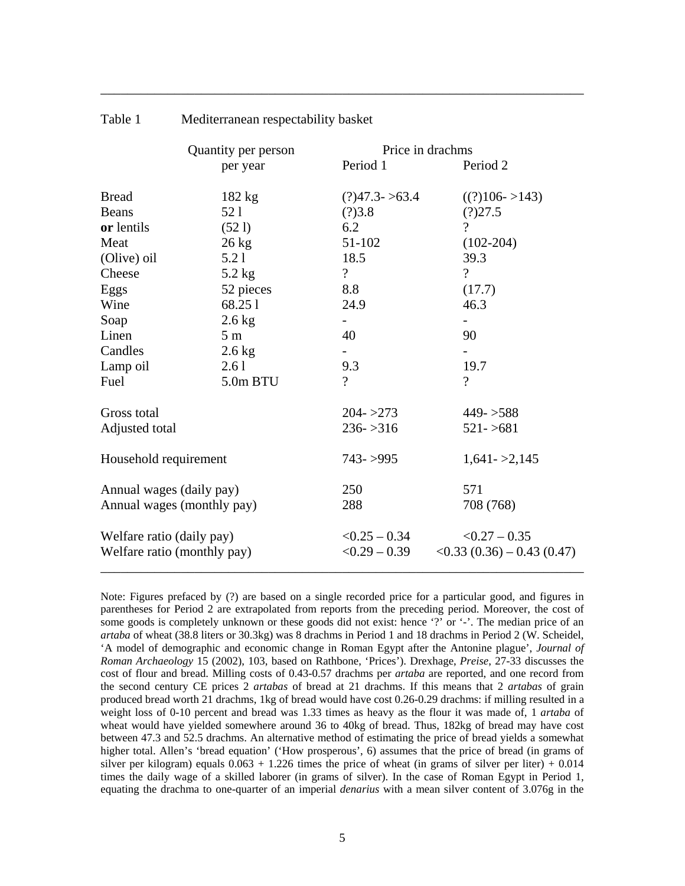|                                                          | Quantity per person |                                    | Price in drachms                                             |
|----------------------------------------------------------|---------------------|------------------------------------|--------------------------------------------------------------|
|                                                          | per year            | Period 1                           | Period 2                                                     |
| <b>Bread</b>                                             | $182$ kg            | $(?)47.3 - >63.4$                  | $((?)106->143)$                                              |
| <b>Beans</b>                                             | 52 1                | (?)3.8                             | (?)27.5                                                      |
| or lentils                                               | (521)               | 6.2                                | $\gamma$                                                     |
| Meat                                                     | $26 \text{ kg}$     | 51-102                             | $(102-204)$                                                  |
| (Olive) oil                                              | 5.21                | 18.5                               | 39.3                                                         |
| Cheese                                                   | $5.2$ kg            | $\overline{?}$                     | $\gamma$                                                     |
| Eggs                                                     | 52 pieces           | 8.8                                | (17.7)                                                       |
| Wine                                                     | 68.251              | 24.9                               | 46.3                                                         |
| Soap                                                     | $2.6$ kg            |                                    |                                                              |
| Linen                                                    | 5 <sub>m</sub>      | 40                                 | 90                                                           |
| Candles                                                  | $2.6$ kg            |                                    |                                                              |
| Lamp oil                                                 | 2.61                | 9.3                                | 19.7                                                         |
| Fuel                                                     | 5.0m BTU            | $\gamma$                           | $\gamma$                                                     |
| Gross total                                              |                     | $204 - 273$                        | $449 - 588$                                                  |
| Adjusted total                                           |                     | $236 - 316$                        | $521 - 5681$                                                 |
| Household requirement                                    |                     | $743 - 995$                        | $1,641 - 2,145$                                              |
| Annual wages (daily pay)                                 |                     | 250                                | 571                                                          |
| Annual wages (monthly pay)                               |                     | 288                                | 708 (768)                                                    |
| Welfare ratio (daily pay)<br>Welfare ratio (monthly pay) |                     | $< 0.25 - 0.34$<br>$< 0.29 - 0.39$ | $< 0.27 - 0.35$<br>$\langle 0.33(0.36) - 0.43(0.47) \rangle$ |

\_\_\_\_\_\_\_\_\_\_\_\_\_\_\_\_\_\_\_\_\_\_\_\_\_\_\_\_\_\_\_\_\_\_\_\_\_\_\_\_\_\_\_\_\_\_\_\_\_\_\_\_\_\_\_\_\_\_\_\_\_\_\_\_\_\_\_\_\_\_\_\_

Table 1 Mediterranean respectability basket

Note: Figures prefaced by (?) are based on a single recorded price for a particular good, and figures in parentheses for Period 2 are extrapolated from reports from the preceding period. Moreover, the cost of some goods is completely unknown or these goods did not exist: hence '?' or '-'. The median price of an *artaba* of wheat (38.8 liters or 30.3kg) was 8 drachms in Period 1 and 18 drachms in Period 2 (W. Scheidel, 'A model of demographic and economic change in Roman Egypt after the Antonine plague', *Journal of Roman Archaeology* 15 (2002), 103, based on Rathbone, 'Prices'). Drexhage, *Preise*, 27-33 discusses the cost of flour and bread. Milling costs of 0.43-0.57 drachms per *artaba* are reported, and one record from the second century CE prices 2 *artabas* of bread at 21 drachms. If this means that 2 *artabas* of grain produced bread worth 21 drachms, 1kg of bread would have cost 0.26-0.29 drachms: if milling resulted in a weight loss of 0-10 percent and bread was 1.33 times as heavy as the flour it was made of, 1 *artaba* of wheat would have yielded somewhere around 36 to 40kg of bread. Thus, 182kg of bread may have cost between 47.3 and 52.5 drachms. An alternative method of estimating the price of bread yields a somewhat higher total. Allen's 'bread equation' ('How prosperous', 6) assumes that the price of bread (in grams of silver per kilogram) equals  $0.063 + 1.226$  times the price of wheat (in grams of silver per liter) + 0.014 times the daily wage of a skilled laborer (in grams of silver). In the case of Roman Egypt in Period 1, equating the drachma to one-quarter of an imperial *denarius* with a mean silver content of 3.076g in the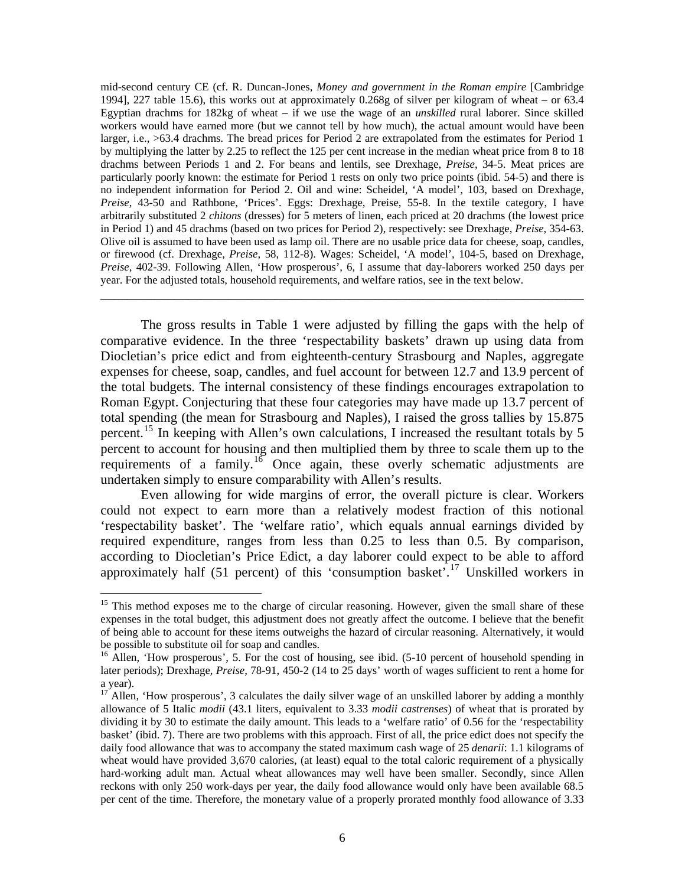mid-second century CE (cf. R. Duncan-Jones, *Money and government in the Roman empire* [Cambridge 1994], 227 table 15.6), this works out at approximately 0.268g of silver per kilogram of wheat – or 63.4 Egyptian drachms for 182kg of wheat – if we use the wage of an *unskilled* rural laborer. Since skilled workers would have earned more (but we cannot tell by how much), the actual amount would have been larger, i.e., >63.4 drachms. The bread prices for Period 2 are extrapolated from the estimates for Period 1 by multiplying the latter by 2.25 to reflect the 125 per cent increase in the median wheat price from 8 to 18 drachms between Periods 1 and 2. For beans and lentils, see Drexhage, *Preise*, 34-5. Meat prices are particularly poorly known: the estimate for Period 1 rests on only two price points (ibid. 54-5) and there is no independent information for Period 2. Oil and wine: Scheidel, 'A model', 103, based on Drexhage, *Preise*, 43-50 and Rathbone, 'Prices'. Eggs: Drexhage, Preise, 55-8. In the textile category, I have arbitrarily substituted 2 *chitons* (dresses) for 5 meters of linen, each priced at 20 drachms (the lowest price in Period 1) and 45 drachms (based on two prices for Period 2), respectively: see Drexhage, *Preise*, 354-63. Olive oil is assumed to have been used as lamp oil. There are no usable price data for cheese, soap, candles, or firewood (cf. Drexhage, *Preise*, 58, 112-8). Wages: Scheidel, 'A model', 104-5, based on Drexhage, *Preise*, 402-39. Following Allen, 'How prosperous', 6, I assume that day-laborers worked 250 days per year. For the adjusted totals, household requirements, and welfare ratios, see in the text below.

The gross results in Table 1 were adjusted by filling the gaps with the help of comparative evidence. In the three 'respectability baskets' drawn up using data from Diocletian's price edict and from eighteenth-century Strasbourg and Naples, aggregate expenses for cheese, soap, candles, and fuel account for between 12.7 and 13.9 percent of the total budgets. The internal consistency of these findings encourages extrapolation to Roman Egypt. Conjecturing that these four categories may have made up 13.7 percent of total spending (the mean for Strasbourg and Naples), I raised the gross tallies by 15.875 percent.<sup>[15](#page-5-0)</sup> In keeping with Allen's own calculations, I increased the resultant totals by 5 percent to account for housing and then multiplied them by three to scale them up to the requirements of a family.<sup>[16](#page-5-1)</sup> Once again, these overly schematic adjustments are undertaken simply to ensure comparability with Allen's results.

\_\_\_\_\_\_\_\_\_\_\_\_\_\_\_\_\_\_\_\_\_\_\_\_\_\_\_\_\_\_\_\_\_\_\_\_\_\_\_\_\_\_\_\_\_\_\_\_\_\_\_\_\_\_\_\_\_\_\_\_\_\_\_\_\_\_\_\_\_\_\_\_

Even allowing for wide margins of error, the overall picture is clear. Workers could not expect to earn more than a relatively modest fraction of this notional 'respectability basket'. The 'welfare ratio', which equals annual earnings divided by required expenditure, ranges from less than 0.25 to less than 0.5. By comparison, according to Diocletian's Price Edict, a day laborer could expect to be able to afford approximately half (51 percent) of this 'consumption basket'.<sup>[17](#page-5-2)</sup> Unskilled workers in

<span id="page-5-0"></span><sup>&</sup>lt;sup>15</sup> This method exposes me to the charge of circular reasoning. However, given the small share of these expenses in the total budget, this adjustment does not greatly affect the outcome. I believe that the benefit of being able to account for these items outweighs the hazard of circular reasoning. Alternatively, it would be possible to substitute oil for soap and candles.

<span id="page-5-1"></span><sup>&</sup>lt;sup>16</sup> Allen, 'How prosperous', 5. For the cost of housing, see ibid. (5-10 percent of household spending in later periods); Drexhage, *Preise*, 78-91, 450-2 (14 to 25 days' worth of wages sufficient to rent a home for a year).

<span id="page-5-2"></span> $17$  Allen, 'How prosperous', 3 calculates the daily silver wage of an unskilled laborer by adding a monthly allowance of 5 Italic *modii* (43.1 liters, equivalent to 3.33 *modii castrenses*) of wheat that is prorated by dividing it by 30 to estimate the daily amount. This leads to a 'welfare ratio' of 0.56 for the 'respectability basket' (ibid. 7). There are two problems with this approach. First of all, the price edict does not specify the daily food allowance that was to accompany the stated maximum cash wage of 25 *denarii*: 1.1 kilograms of wheat would have provided 3,670 calories, (at least) equal to the total caloric requirement of a physically hard-working adult man. Actual wheat allowances may well have been smaller. Secondly, since Allen reckons with only 250 work-days per year, the daily food allowance would only have been available 68.5 per cent of the time. Therefore, the monetary value of a properly prorated monthly food allowance of 3.33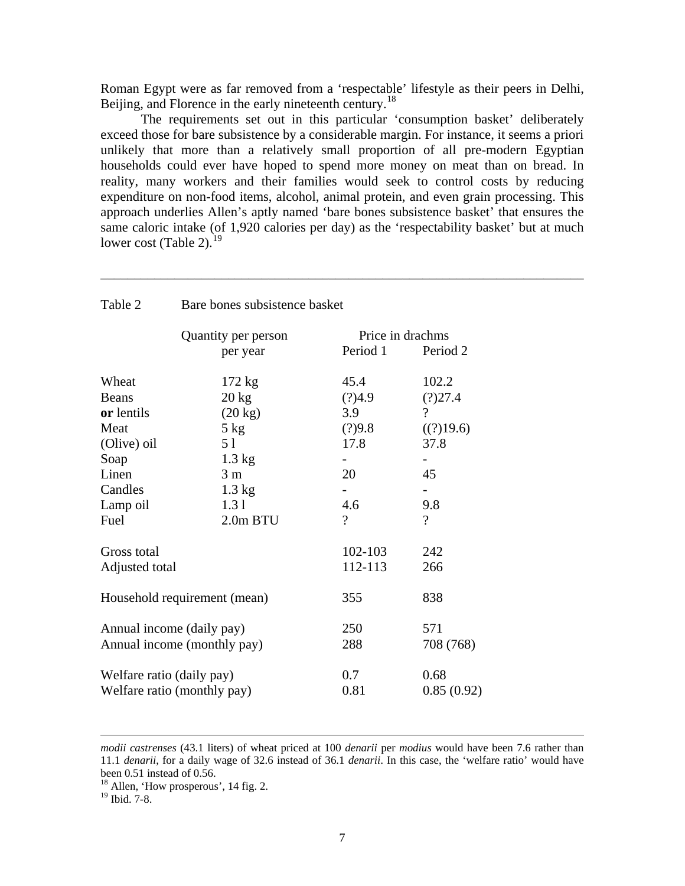Roman Egypt were as far removed from a 'respectable' lifestyle as their peers in Delhi, Beijing, and Florence in the early nineteenth century.<sup>[18](#page-6-0)</sup>

The requirements set out in this particular 'consumption basket' deliberately exceed those for bare subsistence by a considerable margin. For instance, it seems a priori unlikely that more than a relatively small proportion of all pre-modern Egyptian households could ever have hoped to spend more money on meat than on bread. In reality, many workers and their families would seek to control costs by reducing expenditure on non-food items, alcohol, animal protein, and even grain processing. This approach underlies Allen's aptly named 'bare bones subsistence basket' that ensures the same caloric intake (of 1,920 calories per day) as the 'respectability basket' but at much lower cost (Table 2). $^{19}$  $^{19}$  $^{19}$ 

\_\_\_\_\_\_\_\_\_\_\_\_\_\_\_\_\_\_\_\_\_\_\_\_\_\_\_\_\_\_\_\_\_\_\_\_\_\_\_\_\_\_\_\_\_\_\_\_\_\_\_\_\_\_\_\_\_\_\_\_\_\_\_\_\_\_\_\_\_\_\_\_

| Table 2                                                  | Bare bones subsistence basket |                 |                    |  |  |
|----------------------------------------------------------|-------------------------------|-----------------|--------------------|--|--|
|                                                          | Quantity per person           |                 | Price in drachms   |  |  |
|                                                          | per year                      | Period 1        | Period 2           |  |  |
| Wheat                                                    | $172 \text{ kg}$              | 45.4            | 102.2              |  |  |
| <b>Beans</b>                                             | $20 \text{ kg}$               | (?)4.9          | (?)27.4            |  |  |
| or lentils                                               | $(20 \text{ kg})$             | 3.9             | $\gamma$           |  |  |
| Meat                                                     | $5$ kg                        | (?)9.8          | ((?)19.6)          |  |  |
| (Olive) oil                                              | 5 1                           | 17.8            | 37.8               |  |  |
| Soap                                                     | $1.3 \text{ kg}$              |                 |                    |  |  |
| Linen                                                    | 3 <sub>m</sub>                | 20              | 45                 |  |  |
| Candles                                                  | $1.3 \text{ kg}$              |                 |                    |  |  |
| Lamp oil                                                 | 1.31                          | 4.6             | 9.8                |  |  |
| Fuel                                                     | 2.0m BTU                      | $\gamma$        | $\gamma$           |  |  |
| Gross total                                              |                               | 102-103         | 242                |  |  |
| Adjusted total                                           |                               | 112-113         | 266                |  |  |
| Household requirement (mean)                             |                               | 355             | 838                |  |  |
| Annual income (daily pay)<br>Annual income (monthly pay) |                               | 250<br>288      | 571<br>708 (768)   |  |  |
| Welfare ratio (daily pay)                                | Welfare ratio (monthly pay)   | $0.7\,$<br>0.81 | 0.68<br>0.85(0.92) |  |  |

*modii castrenses* (43.1 liters) of wheat priced at 100 *denarii* per *modius* would have been 7.6 rather than 11.1 *denarii*, for a daily wage of 32.6 instead of 36.1 *denarii*. In this case, the 'welfare ratio' would have been 0.51 instead of 0.56.

<sup>&</sup>lt;sup>18</sup> Allen, 'How prosperous', 14 fig. 2.

<span id="page-6-1"></span><span id="page-6-0"></span> $19 \text{ I}$  Ibid. 7-8.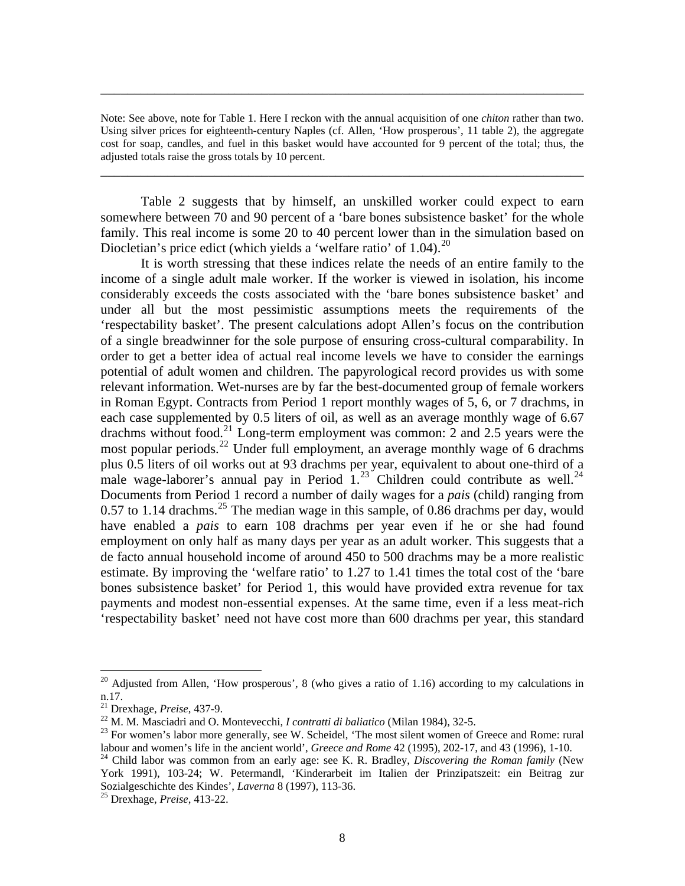Note: See above, note for Table 1. Here I reckon with the annual acquisition of one *chiton* rather than two. Using silver prices for eighteenth-century Naples (cf. Allen, 'How prosperous', 11 table 2), the aggregate cost for soap, candles, and fuel in this basket would have accounted for 9 percent of the total; thus, the adjusted totals raise the gross totals by 10 percent.

\_\_\_\_\_\_\_\_\_\_\_\_\_\_\_\_\_\_\_\_\_\_\_\_\_\_\_\_\_\_\_\_\_\_\_\_\_\_\_\_\_\_\_\_\_\_\_\_\_\_\_\_\_\_\_\_\_\_\_\_\_\_\_\_\_\_\_\_\_\_\_\_

\_\_\_\_\_\_\_\_\_\_\_\_\_\_\_\_\_\_\_\_\_\_\_\_\_\_\_\_\_\_\_\_\_\_\_\_\_\_\_\_\_\_\_\_\_\_\_\_\_\_\_\_\_\_\_\_\_\_\_\_\_\_\_\_\_\_\_\_\_\_\_\_

Table 2 suggests that by himself, an unskilled worker could expect to earn somewhere between 70 and 90 percent of a 'bare bones subsistence basket' for the whole family. This real income is some 20 to 40 percent lower than in the simulation based on Diocletian's price edict (which yields a 'welfare ratio' of 1.04).<sup>[20](#page-7-0)</sup>

It is worth stressing that these indices relate the needs of an entire family to the income of a single adult male worker. If the worker is viewed in isolation, his income considerably exceeds the costs associated with the 'bare bones subsistence basket' and under all but the most pessimistic assumptions meets the requirements of the 'respectability basket'. The present calculations adopt Allen's focus on the contribution of a single breadwinner for the sole purpose of ensuring cross-cultural comparability. In order to get a better idea of actual real income levels we have to consider the earnings potential of adult women and children. The papyrological record provides us with some relevant information. Wet-nurses are by far the best-documented group of female workers in Roman Egypt. Contracts from Period 1 report monthly wages of 5, 6, or 7 drachms, in each case supplemented by 0.5 liters of oil, as well as an average monthly wage of 6.67 drachms without food.<sup>[21](#page-7-1)</sup> Long-term employment was common: 2 and 2.5 years were the most popular periods.<sup>[22](#page-7-2)</sup> Under full employment, an average monthly wage of 6 drachms plus 0.5 liters of oil works out at 93 drachms per year, equivalent to about one-third of a male wage-laborer's annual pay in Period  $1.^{23}$  $1.^{23}$  $1.^{23}$  Children could contribute as well.<sup>24</sup> Documents from Period 1 record a number of daily wages for a *pais* (child) ranging from 0.57 to 1.14 drachms.<sup>[25](#page-7-5)</sup> The median wage in this sample, of 0.86 drachms per day, would have enabled a *pais* to earn 108 drachms per year even if he or she had found employment on only half as many days per year as an adult worker. This suggests that a de facto annual household income of around 450 to 500 drachms may be a more realistic estimate. By improving the 'welfare ratio' to 1.27 to 1.41 times the total cost of the 'bare bones subsistence basket' for Period 1, this would have provided extra revenue for tax payments and modest non-essential expenses. At the same time, even if a less meat-rich 'respectability basket' need not have cost more than 600 drachms per year, this standard

<span id="page-7-0"></span><sup>&</sup>lt;sup>20</sup> Adjusted from Allen, 'How prosperous', 8 (who gives a ratio of 1.16) according to my calculations in n.17.<br><sup>21</sup> Drexhage, *Preise*, 437-9.

<span id="page-7-3"></span>

<span id="page-7-2"></span><span id="page-7-1"></span><sup>&</sup>lt;sup>22</sup> M. M. Masciadri and O. Montevecchi, *I contratti di baliatico* (Milan 1984), 32-5.<br><sup>23</sup> For women's labor more generally, see W. Scheidel, 'The most silent women of Greece and Rome: rural labour and women's life in th

<span id="page-7-4"></span><sup>&</sup>lt;sup>24</sup> Child labor was common from an early age: see K. R. Bradley, *Discovering the Roman family* (New York 1991), 103-24; W. Petermandl, 'Kinderarbeit im Italien der Prinzipatszeit: ein Beitrag zur Sozialgeschichte des Kindes', *Laverna* 8 (1997), 113-36. 25 Drexhage, *Preise*, 413-22.

<span id="page-7-5"></span>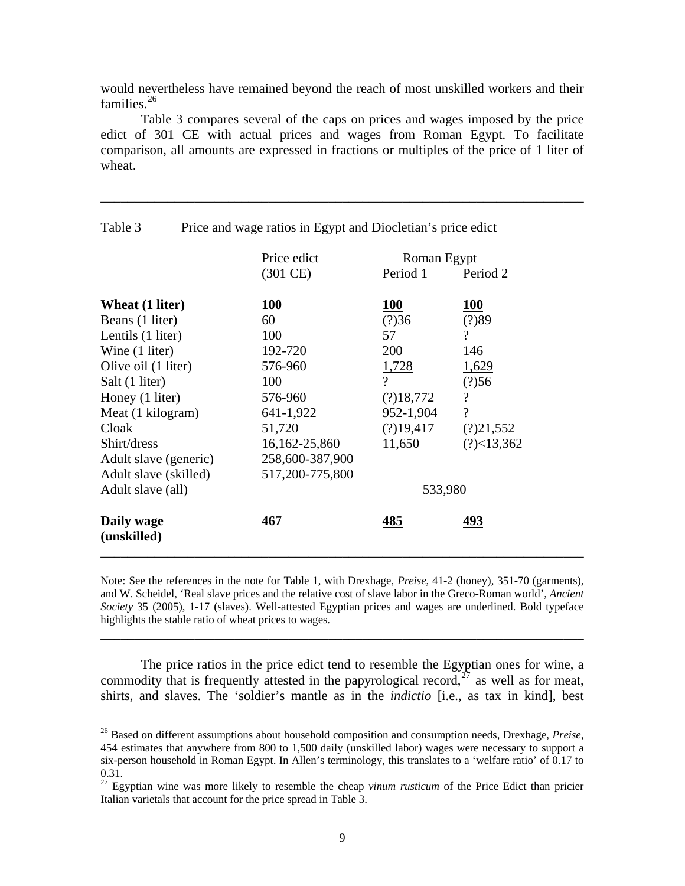would nevertheless have remained beyond the reach of most unskilled workers and their families. $26$ 

Table 3 compares several of the caps on prices and wages imposed by the price edict of 301 CE with actual prices and wages from Roman Egypt. To facilitate comparison, all amounts are expressed in fractions or multiples of the price of 1 liter of wheat.

\_\_\_\_\_\_\_\_\_\_\_\_\_\_\_\_\_\_\_\_\_\_\_\_\_\_\_\_\_\_\_\_\_\_\_\_\_\_\_\_\_\_\_\_\_\_\_\_\_\_\_\_\_\_\_\_\_\_\_\_\_\_\_\_\_\_\_\_\_\_\_\_

|                           | Price edict        | Roman Egypt    |                          |
|---------------------------|--------------------|----------------|--------------------------|
|                           | $(301 \text{ CE})$ | Period 1       | Period 2                 |
| Wheat (1 liter)           | <b>100</b>         | <b>100</b>     | <b>100</b>               |
| Beans (1 liter)           | 60                 | (?)36          | (?)89                    |
| Lentils (1 liter)         | 100                | 57             | $\overline{\mathcal{L}}$ |
| Wine (1 liter)            | 192-720            | 200            | 146                      |
| Olive oil (1 liter)       | 576-960            | 1,728          | 1,629                    |
| Salt (1 liter)            | 100                | $\overline{?}$ | (?)56                    |
| Honey (1 liter)           | 576-960            | (?)18,772      | $\overline{\mathcal{L}}$ |
| Meat (1 kilogram)         | 641-1,922          | 952-1,904      | $\overline{\mathcal{L}}$ |
| Cloak                     | 51,720             | (?)19,417      | (?)21,552                |
| Shirt/dress               | 16, 162 - 25, 860  | 11,650         | (?)<13,362               |
| Adult slave (generic)     | 258,600-387,900    |                |                          |
| Adult slave (skilled)     | 517,200-775,800    |                |                          |
| Adult slave (all)         |                    | 533,980        |                          |
| Daily wage<br>(unskilled) | 467                | 485            | 493                      |

Table 3 Price and wage ratios in Egypt and Diocletian's price edict

Note: See the references in the note for Table 1, with Drexhage, *Preise*, 41-2 (honey), 351-70 (garments), and W. Scheidel, 'Real slave prices and the relative cost of slave labor in the Greco-Roman world', *Ancient Society* 35 (2005), 1-17 (slaves). Well-attested Egyptian prices and wages are underlined. Bold typeface highlights the stable ratio of wheat prices to wages.

\_\_\_\_\_\_\_\_\_\_\_\_\_\_\_\_\_\_\_\_\_\_\_\_\_\_\_\_\_\_\_\_\_\_\_\_\_\_\_\_\_\_\_\_\_\_\_\_\_\_\_\_\_\_\_\_\_\_\_\_\_\_\_\_\_\_\_\_\_\_\_\_

The price ratios in the price edict tend to resemble the Egyptian ones for wine, a commodity that is frequently attested in the papyrological record,<sup>[27](#page-8-1)</sup> as well as for meat, shirts, and slaves. The 'soldier's mantle as in the *indictio* [i.e., as tax in kind], best

<span id="page-8-0"></span><sup>26</sup> Based on different assumptions about household composition and consumption needs, Drexhage, *Preise*, 454 estimates that anywhere from 800 to 1,500 daily (unskilled labor) wages were necessary to support a six-person household in Roman Egypt. In Allen's terminology, this translates to a 'welfare ratio' of 0.17 to 0.31.

<span id="page-8-1"></span><sup>&</sup>lt;sup>27</sup> Egyptian wine was more likely to resemble the cheap *vinum rusticum* of the Price Edict than pricier Italian varietals that account for the price spread in Table 3.